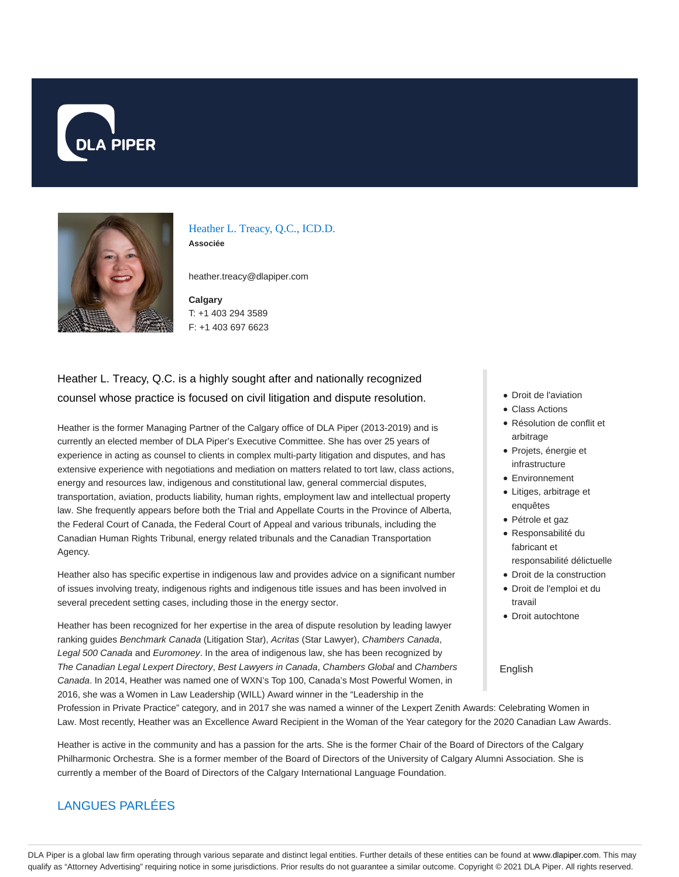



Heather L. Treacy, Q.C., ICD.D. **Associée**

heather.treacy@dlapiper.com

**Calgary** T: +1 403 294 3589 F: +1 403 697 6623

# Heather L. Treacy, Q.C. is a highly sought after and nationally recognized counsel whose practice is focused on civil litigation and dispute resolution.

Heather is the former Managing Partner of the Calgary office of DLA Piper (2013-2019) and is currently an elected member of DLA Piper's Executive Committee. She has over 25 years of experience in acting as counsel to clients in complex multi-party litigation and disputes, and has extensive experience with negotiations and mediation on matters related to tort law, class actions, energy and resources law, indigenous and constitutional law, general commercial disputes, transportation, aviation, products liability, human rights, employment law and intellectual property law. She frequently appears before both the Trial and Appellate Courts in the Province of Alberta, the Federal Court of Canada, the Federal Court of Appeal and various tribunals, including the Canadian Human Rights Tribunal, energy related tribunals and the Canadian Transportation Agency.

Heather also has specific expertise in indigenous law and provides advice on a significant number of issues involving treaty, indigenous rights and indigenous title issues and has been involved in several precedent setting cases, including those in the energy sector.

Heather has been recognized for her expertise in the area of dispute resolution by leading lawyer ranking guides Benchmark Canada (Litigation Star), Acritas (Star Lawyer), Chambers Canada, Legal 500 Canada and Euromoney. In the area of indigenous law, she has been recognized by The Canadian Legal Lexpert Directory, Best Lawyers in Canada, Chambers Global and Chambers Canada. In 2014, Heather was named one of WXN's Top 100, Canada's Most Powerful Women, in 2016, she was a Women in Law Leadership (WILL) Award winner in the "Leadership in the

- Droit de l'aviation
- Class Actions
- Résolution de conflit et arbitrage
- Projets, énergie et infrastructure
- Environnement
- Litiges, arbitrage et enquêtes
- Pétrole et gaz
- Responsabilité du fabricant et responsabilité délictuelle
- Droit de la construction
- Droit de l'emploi et du travail
- Droit autochtone

#### English

Profession in Private Practice" category, and in 2017 she was named a winner of the Lexpert Zenith Awards: Celebrating Women in Law. Most recently, Heather was an Excellence Award Recipient in the Woman of the Year category for the 2020 Canadian Law Awards.

Heather is active in the community and has a passion for the arts. She is the former Chair of the Board of Directors of the Calgary Philharmonic Orchestra. She is a former member of the Board of Directors of the University of Calgary Alumni Association. She is currently a member of the Board of Directors of the Calgary International Language Foundation.

## LANGUES PARLÉES

DLA Piper is a global law firm operating through various separate and distinct legal entities. Further details of these entities can be found at www.dlapiper.com. This may qualify as "Attorney Advertising" requiring notice in some jurisdictions. Prior results do not guarantee a similar outcome. Copyright @ 2021 DLA Piper. All rights reserved.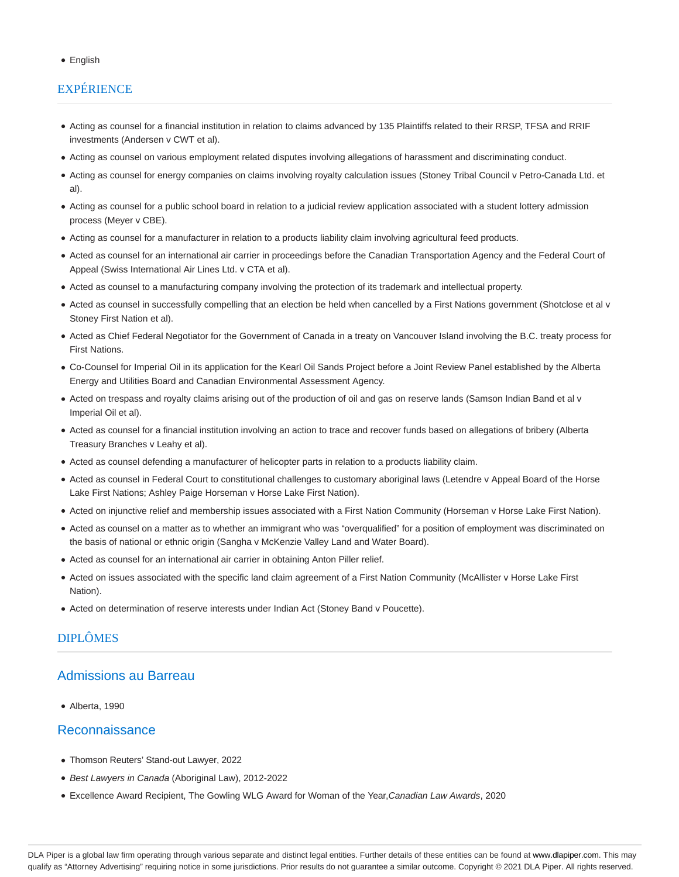#### English

# **EXPÉRIENCE**

- Acting as counsel for a financial institution in relation to claims advanced by 135 Plaintiffs related to their RRSP, TFSA and RRIF investments (Andersen v CWT et al).
- Acting as counsel on various employment related disputes involving allegations of harassment and discriminating conduct.
- Acting as counsel for energy companies on claims involving royalty calculation issues (Stoney Tribal Council v Petro-Canada Ltd. et al).
- Acting as counsel for a public school board in relation to a judicial review application associated with a student lottery admission process (Meyer v CBE).
- Acting as counsel for a manufacturer in relation to a products liability claim involving agricultural feed products.
- Acted as counsel for an international air carrier in proceedings before the Canadian Transportation Agency and the Federal Court of Appeal (Swiss International Air Lines Ltd. v CTA et al).
- Acted as counsel to a manufacturing company involving the protection of its trademark and intellectual property.
- Acted as counsel in successfully compelling that an election be held when cancelled by a First Nations government (Shotclose et al v Stoney First Nation et al).
- Acted as Chief Federal Negotiator for the Government of Canada in a treaty on Vancouver Island involving the B.C. treaty process for First Nations.
- Co-Counsel for Imperial Oil in its application for the Kearl Oil Sands Project before a Joint Review Panel established by the Alberta Energy and Utilities Board and Canadian Environmental Assessment Agency.
- Acted on trespass and royalty claims arising out of the production of oil and gas on reserve lands (Samson Indian Band et al v Imperial Oil et al).
- Acted as counsel for a financial institution involving an action to trace and recover funds based on allegations of bribery (Alberta Treasury Branches v Leahy et al).
- Acted as counsel defending a manufacturer of helicopter parts in relation to a products liability claim.
- Acted as counsel in Federal Court to constitutional challenges to customary aboriginal laws (Letendre v Appeal Board of the Horse Lake First Nations; Ashley Paige Horseman v Horse Lake First Nation).
- Acted on injunctive relief and membership issues associated with a First Nation Community (Horseman v Horse Lake First Nation).
- Acted as counsel on a matter as to whether an immigrant who was "overqualified" for a position of employment was discriminated on the basis of national or ethnic origin (Sangha v McKenzie Valley Land and Water Board).
- Acted as counsel for an international air carrier in obtaining Anton Piller relief.
- Acted on issues associated with the specific land claim agreement of a First Nation Community (McAllister v Horse Lake First Nation).
- Acted on determination of reserve interests under Indian Act (Stoney Band v Poucette).

### DIPLÔMES

### Admissions au Barreau

Alberta, 1990

#### Reconnaissance

- Thomson Reuters' Stand-out Lawyer, 2022
- Best Lawyers in Canada (Aboriginal Law), 2012-2022
- Excellence Award Recipient, The Gowling WLG Award for Woman of the Year,Canadian Law Awards, 2020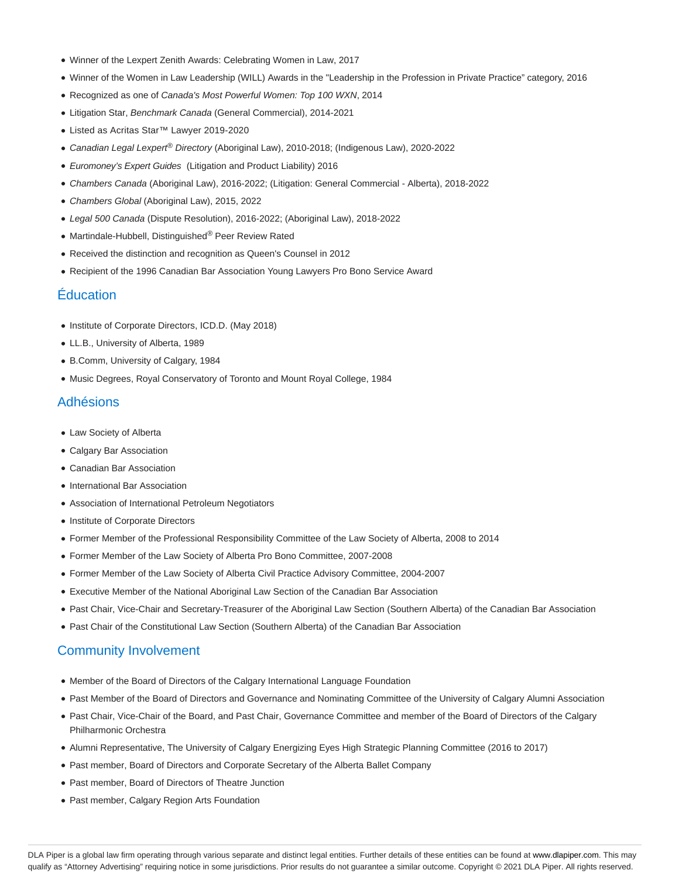- Winner of the Lexpert Zenith Awards: Celebrating Women in Law, 2017
- Winner of the Women in Law Leadership (WILL) Awards in the "Leadership in the Profession in Private Practice" category, 2016
- Recognized as one of Canada's Most Powerful Women: Top 100 WXN, 2014
- Litigation Star, Benchmark Canada (General Commercial), 2014-2021
- Listed as Acritas Star™ Lawyer 2019-2020
- Canadian Legal Lexpert<sup>®</sup> Directory (Aboriginal Law), 2010-2018; (Indigenous Law), 2020-2022
- Euromoney's Expert Guides (Litigation and Product Liability) 2016
- Chambers Canada (Aboriginal Law), 2016-2022; (Litigation: General Commercial Alberta), 2018-2022
- Chambers Global (Aboriginal Law), 2015, 2022
- Legal 500 Canada (Dispute Resolution), 2016-2022; (Aboriginal Law), 2018-2022
- Martindale-Hubbell, Distinguished® Peer Review Rated
- Received the distinction and recognition as Queen's Counsel in 2012
- Recipient of the 1996 Canadian Bar Association Young Lawyers Pro Bono Service Award

### Éducation

- Institute of Corporate Directors, ICD.D. (May 2018)
- LL.B., University of Alberta, 1989
- B.Comm, University of Calgary, 1984
- Music Degrees, Royal Conservatory of Toronto and Mount Royal College, 1984

#### Adhésions

- Law Society of Alberta
- Calgary Bar Association
- Canadian Bar Association
- International Bar Association
- Association of International Petroleum Negotiators
- Institute of Corporate Directors
- Former Member of the Professional Responsibility Committee of the Law Society of Alberta, 2008 to 2014
- Former Member of the Law Society of Alberta Pro Bono Committee, 2007-2008
- Former Member of the Law Society of Alberta Civil Practice Advisory Committee, 2004-2007
- Executive Member of the National Aboriginal Law Section of the Canadian Bar Association
- Past Chair, Vice-Chair and Secretary-Treasurer of the Aboriginal Law Section (Southern Alberta) of the Canadian Bar Association
- Past Chair of the Constitutional Law Section (Southern Alberta) of the Canadian Bar Association

#### Community Involvement

- Member of the Board of Directors of the Calgary International Language Foundation
- Past Member of the Board of Directors and Governance and Nominating Committee of the University of Calgary Alumni Association
- Past Chair, Vice-Chair of the Board, and Past Chair, Governance Committee and member of the Board of Directors of the Calgary Philharmonic Orchestra
- Alumni Representative, The University of Calgary Energizing Eyes High Strategic Planning Committee (2016 to 2017)
- Past member, Board of Directors and Corporate Secretary of the Alberta Ballet Company
- Past member, Board of Directors of Theatre Junction
- Past member, Calgary Region Arts Foundation